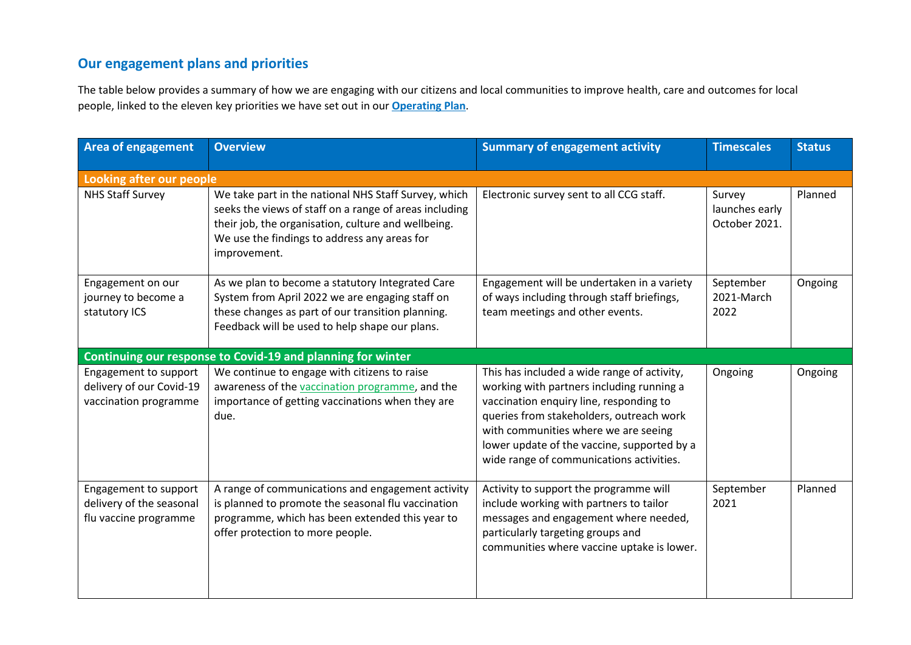## **Our engagement plans and priorities**

The table below provides a summary of how we are engaging with our citizens and local communities to improve health, care and outcomes for local people, linked to the eleven key priorities we have set out in our **[Operating Plan](https://www.surreyheartlands.uk/wp-content/uploads/2021/07/210706-Surrey_Heartlands_Plan_2021-22_Summary_v2_1c.pdf)**.

| <b>Area of engagement</b>                                                  | <b>Overview</b>                                                                                                                                                                                                                       | <b>Summary of engagement activity</b>                                                                                                                                                                                                                                                                              | <b>Timescales</b>                         | <b>Status</b> |
|----------------------------------------------------------------------------|---------------------------------------------------------------------------------------------------------------------------------------------------------------------------------------------------------------------------------------|--------------------------------------------------------------------------------------------------------------------------------------------------------------------------------------------------------------------------------------------------------------------------------------------------------------------|-------------------------------------------|---------------|
| Looking after our people                                                   |                                                                                                                                                                                                                                       |                                                                                                                                                                                                                                                                                                                    |                                           |               |
| <b>NHS Staff Survey</b>                                                    | We take part in the national NHS Staff Survey, which<br>seeks the views of staff on a range of areas including<br>their job, the organisation, culture and wellbeing.<br>We use the findings to address any areas for<br>improvement. | Electronic survey sent to all CCG staff.                                                                                                                                                                                                                                                                           | Survey<br>launches early<br>October 2021. | Planned       |
| Engagement on our<br>journey to become a<br>statutory ICS                  | As we plan to become a statutory Integrated Care<br>System from April 2022 we are engaging staff on<br>these changes as part of our transition planning.<br>Feedback will be used to help shape our plans.                            | Engagement will be undertaken in a variety<br>of ways including through staff briefings,<br>team meetings and other events.                                                                                                                                                                                        | September<br>2021-March<br>2022           | Ongoing       |
|                                                                            | Continuing our response to Covid-19 and planning for winter                                                                                                                                                                           |                                                                                                                                                                                                                                                                                                                    |                                           |               |
| Engagement to support<br>delivery of our Covid-19<br>vaccination programme | We continue to engage with citizens to raise<br>awareness of the vaccination programme, and the<br>importance of getting vaccinations when they are<br>due.                                                                           | This has included a wide range of activity,<br>working with partners including running a<br>vaccination enquiry line, responding to<br>queries from stakeholders, outreach work<br>with communities where we are seeing<br>lower update of the vaccine, supported by a<br>wide range of communications activities. | Ongoing                                   | Ongoing       |
| Engagement to support<br>delivery of the seasonal<br>flu vaccine programme | A range of communications and engagement activity<br>is planned to promote the seasonal flu vaccination<br>programme, which has been extended this year to<br>offer protection to more people.                                        | Activity to support the programme will<br>include working with partners to tailor<br>messages and engagement where needed,<br>particularly targeting groups and<br>communities where vaccine uptake is lower.                                                                                                      | September<br>2021                         | Planned       |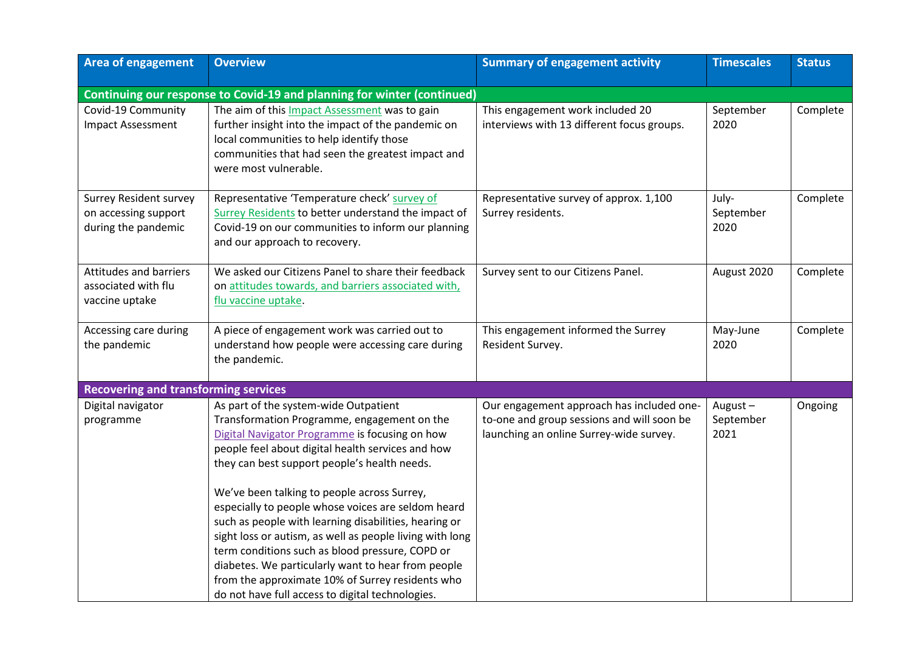| <b>Area of engagement</b>                                                    | <b>Overview</b>                                                                                                                                                                                                                                                                                                                                                                                                                                                                                                                                                                                                                                                                        | <b>Summary of engagement activity</b>                                                                                              | <b>Timescales</b>            | <b>Status</b> |
|------------------------------------------------------------------------------|----------------------------------------------------------------------------------------------------------------------------------------------------------------------------------------------------------------------------------------------------------------------------------------------------------------------------------------------------------------------------------------------------------------------------------------------------------------------------------------------------------------------------------------------------------------------------------------------------------------------------------------------------------------------------------------|------------------------------------------------------------------------------------------------------------------------------------|------------------------------|---------------|
|                                                                              | Continuing our response to Covid-19 and planning for winter (continued)                                                                                                                                                                                                                                                                                                                                                                                                                                                                                                                                                                                                                |                                                                                                                                    |                              |               |
| Covid-19 Community<br><b>Impact Assessment</b>                               | The aim of this Impact Assessment was to gain<br>further insight into the impact of the pandemic on<br>local communities to help identify those<br>communities that had seen the greatest impact and<br>were most vulnerable.                                                                                                                                                                                                                                                                                                                                                                                                                                                          | This engagement work included 20<br>interviews with 13 different focus groups.                                                     | September<br>2020            | Complete      |
| <b>Surrey Resident survey</b><br>on accessing support<br>during the pandemic | Representative 'Temperature check' survey of<br>Surrey Residents to better understand the impact of<br>Covid-19 on our communities to inform our planning<br>and our approach to recovery.                                                                                                                                                                                                                                                                                                                                                                                                                                                                                             | Representative survey of approx. 1,100<br>Surrey residents.                                                                        | July-<br>September<br>2020   | Complete      |
| <b>Attitudes and barriers</b><br>associated with flu<br>vaccine uptake       | We asked our Citizens Panel to share their feedback<br>on attitudes towards, and barriers associated with,<br>flu vaccine uptake.                                                                                                                                                                                                                                                                                                                                                                                                                                                                                                                                                      | Survey sent to our Citizens Panel.                                                                                                 | August 2020                  | Complete      |
| Accessing care during<br>the pandemic                                        | A piece of engagement work was carried out to<br>understand how people were accessing care during<br>the pandemic.                                                                                                                                                                                                                                                                                                                                                                                                                                                                                                                                                                     | This engagement informed the Surrey<br>Resident Survey.                                                                            | May-June<br>2020             | Complete      |
| <b>Recovering and transforming services</b>                                  |                                                                                                                                                                                                                                                                                                                                                                                                                                                                                                                                                                                                                                                                                        |                                                                                                                                    |                              |               |
| Digital navigator<br>programme                                               | As part of the system-wide Outpatient<br>Transformation Programme, engagement on the<br>Digital Navigator Programme is focusing on how<br>people feel about digital health services and how<br>they can best support people's health needs.<br>We've been talking to people across Surrey,<br>especially to people whose voices are seldom heard<br>such as people with learning disabilities, hearing or<br>sight loss or autism, as well as people living with long<br>term conditions such as blood pressure, COPD or<br>diabetes. We particularly want to hear from people<br>from the approximate 10% of Surrey residents who<br>do not have full access to digital technologies. | Our engagement approach has included one-<br>to-one and group sessions and will soon be<br>launching an online Surrey-wide survey. | August-<br>September<br>2021 | Ongoing       |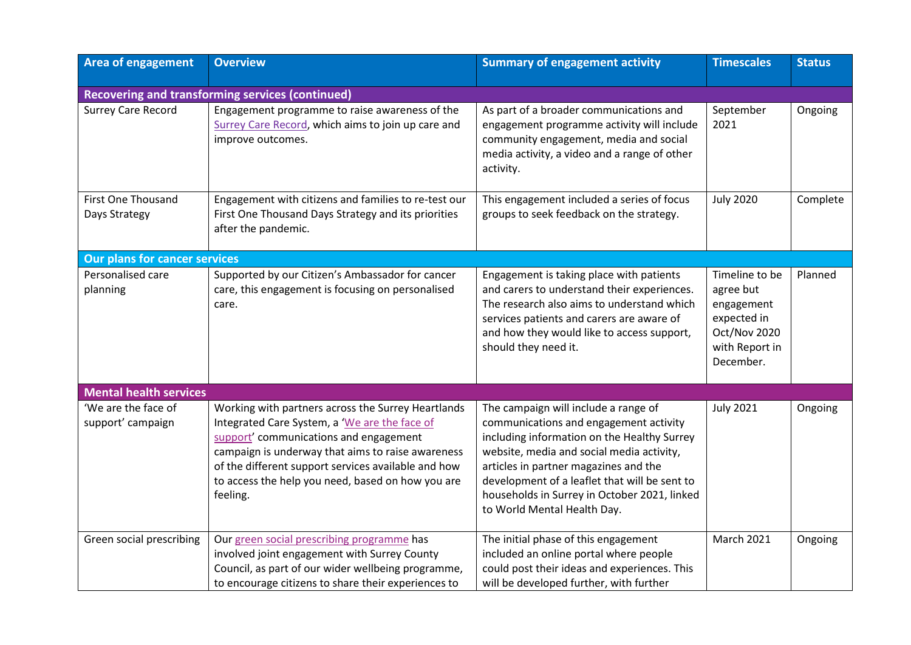| <b>Area of engagement</b>                  | <b>Overview</b>                                                                                                                                                                                                                                                                                                            | <b>Summary of engagement activity</b>                                                                                                                                                                                                                                                                                                               | <b>Timescales</b>                                                                                       | <b>Status</b> |
|--------------------------------------------|----------------------------------------------------------------------------------------------------------------------------------------------------------------------------------------------------------------------------------------------------------------------------------------------------------------------------|-----------------------------------------------------------------------------------------------------------------------------------------------------------------------------------------------------------------------------------------------------------------------------------------------------------------------------------------------------|---------------------------------------------------------------------------------------------------------|---------------|
|                                            | Recovering and transforming services (continued)                                                                                                                                                                                                                                                                           |                                                                                                                                                                                                                                                                                                                                                     |                                                                                                         |               |
| <b>Surrey Care Record</b>                  | Engagement programme to raise awareness of the<br>Surrey Care Record, which aims to join up care and<br>improve outcomes.                                                                                                                                                                                                  | As part of a broader communications and<br>engagement programme activity will include<br>community engagement, media and social<br>media activity, a video and a range of other<br>activity.                                                                                                                                                        | September<br>2021                                                                                       | Ongoing       |
| <b>First One Thousand</b><br>Days Strategy | Engagement with citizens and families to re-test our<br>First One Thousand Days Strategy and its priorities<br>after the pandemic.                                                                                                                                                                                         | This engagement included a series of focus<br>groups to seek feedback on the strategy.                                                                                                                                                                                                                                                              | <b>July 2020</b>                                                                                        | Complete      |
| <b>Our plans for cancer services</b>       |                                                                                                                                                                                                                                                                                                                            |                                                                                                                                                                                                                                                                                                                                                     |                                                                                                         |               |
| Personalised care<br>planning              | Supported by our Citizen's Ambassador for cancer<br>care, this engagement is focusing on personalised<br>care.                                                                                                                                                                                                             | Engagement is taking place with patients<br>and carers to understand their experiences.<br>The research also aims to understand which<br>services patients and carers are aware of<br>and how they would like to access support,<br>should they need it.                                                                                            | Timeline to be<br>agree but<br>engagement<br>expected in<br>Oct/Nov 2020<br>with Report in<br>December. | Planned       |
| <b>Mental health services</b>              |                                                                                                                                                                                                                                                                                                                            |                                                                                                                                                                                                                                                                                                                                                     |                                                                                                         |               |
| 'We are the face of<br>support' campaign   | Working with partners across the Surrey Heartlands<br>Integrated Care System, a 'We are the face of<br>support' communications and engagement<br>campaign is underway that aims to raise awareness<br>of the different support services available and how<br>to access the help you need, based on how you are<br>feeling. | The campaign will include a range of<br>communications and engagement activity<br>including information on the Healthy Surrey<br>website, media and social media activity,<br>articles in partner magazines and the<br>development of a leaflet that will be sent to<br>households in Surrey in October 2021, linked<br>to World Mental Health Day. | <b>July 2021</b>                                                                                        | Ongoing       |
| Green social prescribing                   | Our green social prescribing programme has<br>involved joint engagement with Surrey County<br>Council, as part of our wider wellbeing programme,<br>to encourage citizens to share their experiences to                                                                                                                    | The initial phase of this engagement<br>included an online portal where people<br>could post their ideas and experiences. This<br>will be developed further, with further                                                                                                                                                                           | <b>March 2021</b>                                                                                       | Ongoing       |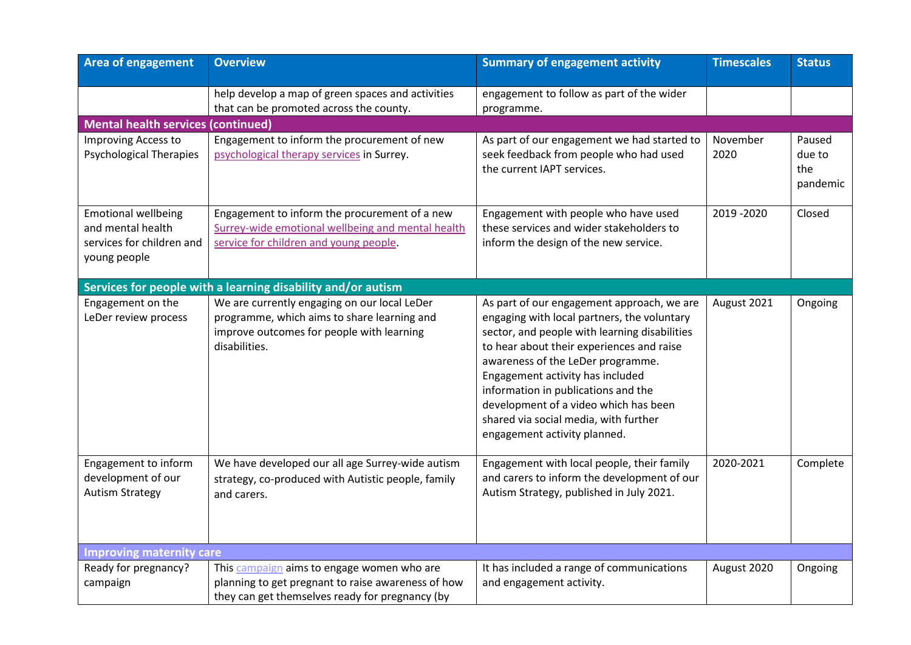| <b>Area of engagement</b>                                                                    | <b>Overview</b>                                                                                                                                           | <b>Summary of engagement activity</b>                                                                                                                                                                                                                                                                                                                                                                                     | <b>Timescales</b> | <b>Status</b>                       |
|----------------------------------------------------------------------------------------------|-----------------------------------------------------------------------------------------------------------------------------------------------------------|---------------------------------------------------------------------------------------------------------------------------------------------------------------------------------------------------------------------------------------------------------------------------------------------------------------------------------------------------------------------------------------------------------------------------|-------------------|-------------------------------------|
|                                                                                              | help develop a map of green spaces and activities<br>that can be promoted across the county.                                                              | engagement to follow as part of the wider<br>programme.                                                                                                                                                                                                                                                                                                                                                                   |                   |                                     |
| <b>Mental health services (continued)</b>                                                    |                                                                                                                                                           |                                                                                                                                                                                                                                                                                                                                                                                                                           |                   |                                     |
| Improving Access to<br><b>Psychological Therapies</b>                                        | Engagement to inform the procurement of new<br>psychological therapy services in Surrey.                                                                  | As part of our engagement we had started to<br>seek feedback from people who had used<br>the current IAPT services.                                                                                                                                                                                                                                                                                                       | November<br>2020  | Paused<br>due to<br>the<br>pandemic |
| <b>Emotional wellbeing</b><br>and mental health<br>services for children and<br>young people | Engagement to inform the procurement of a new<br>Surrey-wide emotional wellbeing and mental health<br>service for children and young people.              | Engagement with people who have used<br>these services and wider stakeholders to<br>inform the design of the new service.                                                                                                                                                                                                                                                                                                 | 2019 - 2020       | Closed                              |
|                                                                                              | Services for people with a learning disability and/or autism                                                                                              |                                                                                                                                                                                                                                                                                                                                                                                                                           |                   |                                     |
| Engagement on the<br>LeDer review process                                                    | We are currently engaging on our local LeDer<br>programme, which aims to share learning and<br>improve outcomes for people with learning<br>disabilities. | As part of our engagement approach, we are<br>engaging with local partners, the voluntary<br>sector, and people with learning disabilities<br>to hear about their experiences and raise<br>awareness of the LeDer programme.<br>Engagement activity has included<br>information in publications and the<br>development of a video which has been<br>shared via social media, with further<br>engagement activity planned. | August 2021       | Ongoing                             |
| Engagement to inform<br>development of our<br><b>Autism Strategy</b>                         | We have developed our all age Surrey-wide autism<br>strategy, co-produced with Autistic people, family<br>and carers.                                     | Engagement with local people, their family<br>and carers to inform the development of our<br>Autism Strategy, published in July 2021.                                                                                                                                                                                                                                                                                     | 2020-2021         | Complete                            |
| <b>Improving maternity care</b>                                                              |                                                                                                                                                           |                                                                                                                                                                                                                                                                                                                                                                                                                           |                   |                                     |
| Ready for pregnancy?<br>campaign                                                             | This campaign aims to engage women who are<br>planning to get pregnant to raise awareness of how<br>they can get themselves ready for pregnancy (by       | It has included a range of communications<br>and engagement activity.                                                                                                                                                                                                                                                                                                                                                     | August 2020       | Ongoing                             |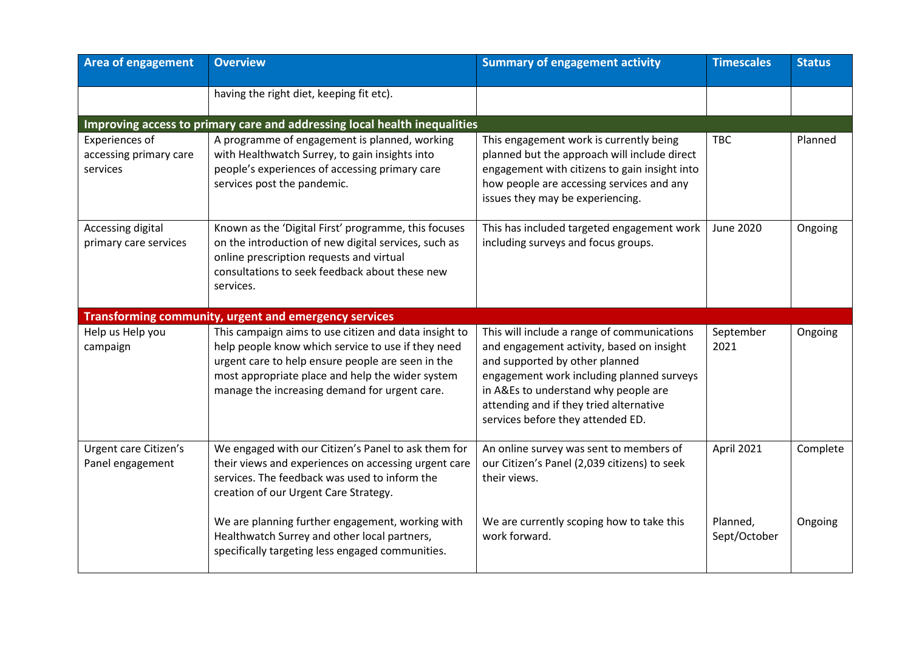| <b>Area of engagement</b>                            | <b>Overview</b>                                                                                                                                                                                                                                                       | <b>Summary of engagement activity</b>                                                                                                                                                                                                                                                           | <b>Timescales</b>        | <b>Status</b> |
|------------------------------------------------------|-----------------------------------------------------------------------------------------------------------------------------------------------------------------------------------------------------------------------------------------------------------------------|-------------------------------------------------------------------------------------------------------------------------------------------------------------------------------------------------------------------------------------------------------------------------------------------------|--------------------------|---------------|
|                                                      | having the right diet, keeping fit etc).                                                                                                                                                                                                                              |                                                                                                                                                                                                                                                                                                 |                          |               |
|                                                      | Improving access to primary care and addressing local health inequalities                                                                                                                                                                                             |                                                                                                                                                                                                                                                                                                 |                          |               |
| Experiences of<br>accessing primary care<br>services | A programme of engagement is planned, working<br>with Healthwatch Surrey, to gain insights into<br>people's experiences of accessing primary care<br>services post the pandemic.                                                                                      | This engagement work is currently being<br>planned but the approach will include direct<br>engagement with citizens to gain insight into<br>how people are accessing services and any<br>issues they may be experiencing.                                                                       | <b>TBC</b>               | Planned       |
| Accessing digital<br>primary care services           | Known as the 'Digital First' programme, this focuses<br>on the introduction of new digital services, such as<br>online prescription requests and virtual<br>consultations to seek feedback about these new<br>services.                                               | This has included targeted engagement work<br>including surveys and focus groups.                                                                                                                                                                                                               | <b>June 2020</b>         | Ongoing       |
|                                                      | <b>Transforming community, urgent and emergency services</b>                                                                                                                                                                                                          |                                                                                                                                                                                                                                                                                                 |                          |               |
| Help us Help you<br>campaign                         | This campaign aims to use citizen and data insight to<br>help people know which service to use if they need<br>urgent care to help ensure people are seen in the<br>most appropriate place and help the wider system<br>manage the increasing demand for urgent care. | This will include a range of communications<br>and engagement activity, based on insight<br>and supported by other planned<br>engagement work including planned surveys<br>in A&Es to understand why people are<br>attending and if they tried alternative<br>services before they attended ED. | September<br>2021        | Ongoing       |
| Urgent care Citizen's<br>Panel engagement            | We engaged with our Citizen's Panel to ask them for<br>their views and experiences on accessing urgent care<br>services. The feedback was used to inform the<br>creation of our Urgent Care Strategy.                                                                 | An online survey was sent to members of<br>our Citizen's Panel (2,039 citizens) to seek<br>their views.                                                                                                                                                                                         | April 2021               | Complete      |
|                                                      | We are planning further engagement, working with<br>Healthwatch Surrey and other local partners,<br>specifically targeting less engaged communities.                                                                                                                  | We are currently scoping how to take this<br>work forward.                                                                                                                                                                                                                                      | Planned,<br>Sept/October | Ongoing       |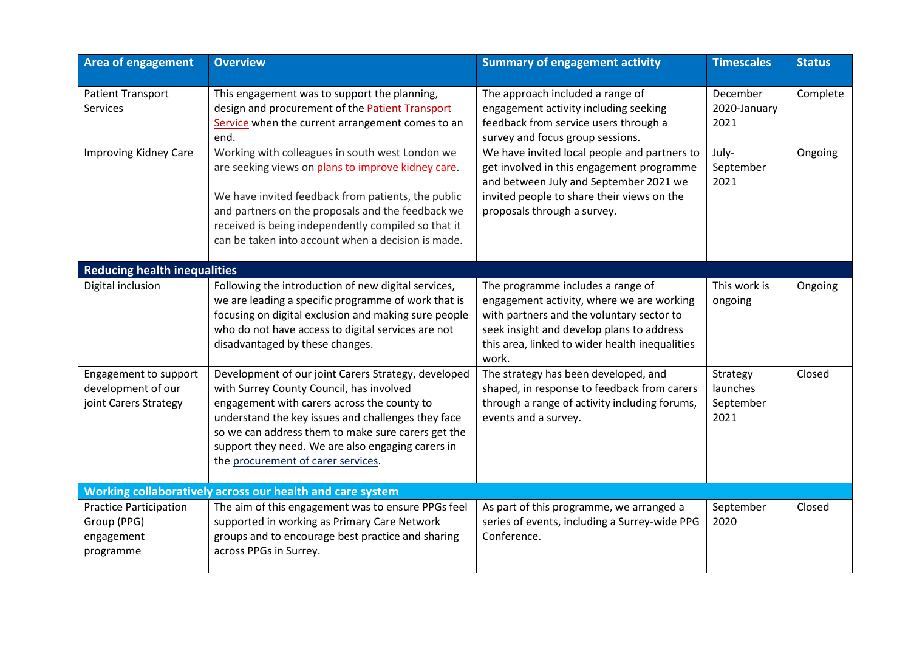| <b>Area of engagement</b>                                               | <b>Overview</b>                                                                                                                                                                                                                                                                                                                                       | <b>Summary of engagement activity</b>                                                                                                                                                                                               | <b>Timescales</b>                         | <b>Status</b> |
|-------------------------------------------------------------------------|-------------------------------------------------------------------------------------------------------------------------------------------------------------------------------------------------------------------------------------------------------------------------------------------------------------------------------------------------------|-------------------------------------------------------------------------------------------------------------------------------------------------------------------------------------------------------------------------------------|-------------------------------------------|---------------|
| <b>Patient Transport</b><br>Services                                    | This engagement was to support the planning,<br>design and procurement of the <b>Patient Transport</b><br>Service when the current arrangement comes to an<br>end.                                                                                                                                                                                    | The approach included a range of<br>engagement activity including seeking<br>feedback from service users through a<br>survey and focus group sessions.                                                                              | December<br>2020-January<br>2021          | Complete      |
| <b>Improving Kidney Care</b>                                            | Working with colleagues in south west London we<br>are seeking views on plans to improve kidney care.<br>We have invited feedback from patients, the public<br>and partners on the proposals and the feedback we<br>received is being independently compiled so that it<br>can be taken into account when a decision is made.                         | We have invited local people and partners to<br>get involved in this engagement programme<br>and between July and September 2021 we<br>invited people to share their views on the<br>proposals through a survey.                    | July-<br>September<br>2021                | Ongoing       |
| <b>Reducing health inequalities</b>                                     |                                                                                                                                                                                                                                                                                                                                                       |                                                                                                                                                                                                                                     |                                           |               |
| Digital inclusion                                                       | Following the introduction of new digital services,<br>we are leading a specific programme of work that is<br>focusing on digital exclusion and making sure people<br>who do not have access to digital services are not<br>disadvantaged by these changes.                                                                                           | The programme includes a range of<br>engagement activity, where we are working<br>with partners and the voluntary sector to<br>seek insight and develop plans to address<br>this area, linked to wider health inequalities<br>work. | This work is<br>ongoing                   | Ongoing       |
| Engagement to support<br>development of our<br>joint Carers Strategy    | Development of our joint Carers Strategy, developed<br>with Surrey County Council, has involved<br>engagement with carers across the county to<br>understand the key issues and challenges they face<br>so we can address them to make sure carers get the<br>support they need. We are also engaging carers in<br>the procurement of carer services. | The strategy has been developed, and<br>shaped, in response to feedback from carers<br>through a range of activity including forums,<br>events and a survey.                                                                        | Strategy<br>launches<br>September<br>2021 | Closed        |
|                                                                         | Working collaboratively across our health and care system                                                                                                                                                                                                                                                                                             |                                                                                                                                                                                                                                     |                                           |               |
| <b>Practice Participation</b><br>Group (PPG)<br>engagement<br>programme | The aim of this engagement was to ensure PPGs feel<br>supported in working as Primary Care Network<br>groups and to encourage best practice and sharing<br>across PPGs in Surrey.                                                                                                                                                                     | As part of this programme, we arranged a<br>series of events, including a Surrey-wide PPG<br>Conference.                                                                                                                            | September<br>2020                         | Closed        |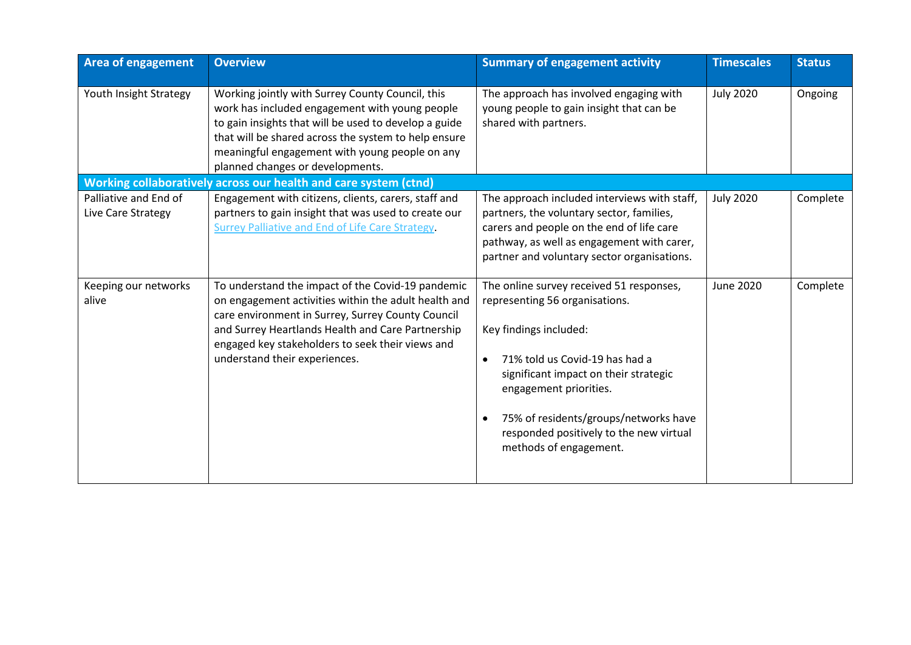| <b>Area of engagement</b>                   | <b>Overview</b>                                                                                                                                                                                                                                                                                           | <b>Summary of engagement activity</b>                                                                                                                                                                                                                                                                                                             | <b>Timescales</b> | <b>Status</b> |
|---------------------------------------------|-----------------------------------------------------------------------------------------------------------------------------------------------------------------------------------------------------------------------------------------------------------------------------------------------------------|---------------------------------------------------------------------------------------------------------------------------------------------------------------------------------------------------------------------------------------------------------------------------------------------------------------------------------------------------|-------------------|---------------|
| Youth Insight Strategy                      | Working jointly with Surrey County Council, this<br>work has included engagement with young people<br>to gain insights that will be used to develop a guide<br>that will be shared across the system to help ensure<br>meaningful engagement with young people on any<br>planned changes or developments. | The approach has involved engaging with<br>young people to gain insight that can be<br>shared with partners.                                                                                                                                                                                                                                      | <b>July 2020</b>  | Ongoing       |
|                                             | Working collaboratively across our health and care system (ctnd)                                                                                                                                                                                                                                          |                                                                                                                                                                                                                                                                                                                                                   |                   |               |
| Palliative and End of<br>Live Care Strategy | Engagement with citizens, clients, carers, staff and<br>partners to gain insight that was used to create our<br>Surrey Palliative and End of Life Care Strategy.                                                                                                                                          | The approach included interviews with staff,<br>partners, the voluntary sector, families,<br>carers and people on the end of life care<br>pathway, as well as engagement with carer,<br>partner and voluntary sector organisations.                                                                                                               | <b>July 2020</b>  | Complete      |
| Keeping our networks<br>alive               | To understand the impact of the Covid-19 pandemic<br>on engagement activities within the adult health and<br>care environment in Surrey, Surrey County Council<br>and Surrey Heartlands Health and Care Partnership<br>engaged key stakeholders to seek their views and<br>understand their experiences.  | The online survey received 51 responses,<br>representing 56 organisations.<br>Key findings included:<br>71% told us Covid-19 has had a<br>$\bullet$<br>significant impact on their strategic<br>engagement priorities.<br>75% of residents/groups/networks have<br>$\bullet$<br>responded positively to the new virtual<br>methods of engagement. | June 2020         | Complete      |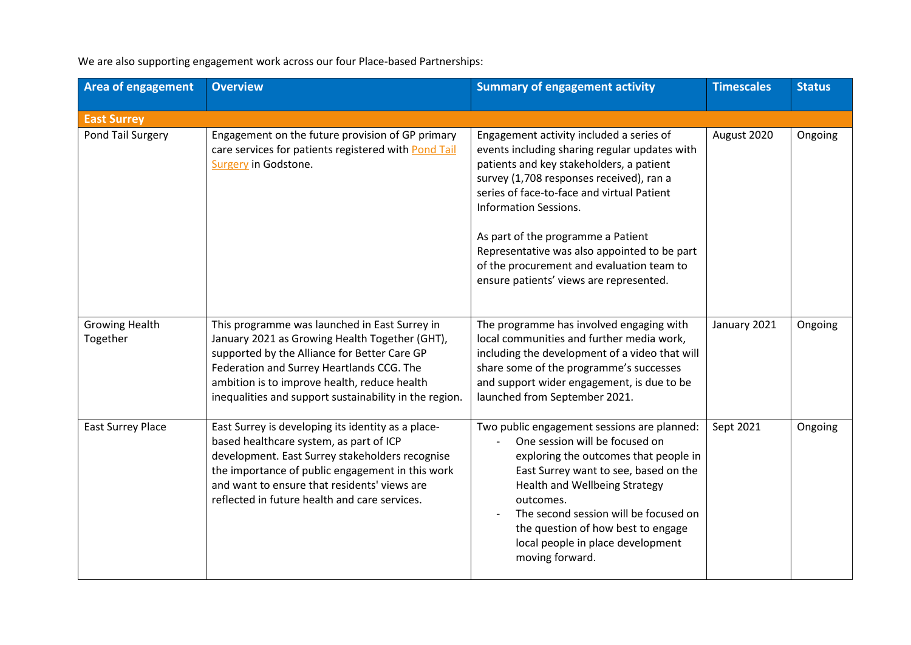We are also supporting engagement work across our four Place-based Partnerships:

| <b>Area of engagement</b>         | <b>Overview</b>                                                                                                                                                                                                                                                                                        | <b>Summary of engagement activity</b>                                                                                                                                                                                                                                                                                                                                                                                                         | <b>Timescales</b> | <b>Status</b> |
|-----------------------------------|--------------------------------------------------------------------------------------------------------------------------------------------------------------------------------------------------------------------------------------------------------------------------------------------------------|-----------------------------------------------------------------------------------------------------------------------------------------------------------------------------------------------------------------------------------------------------------------------------------------------------------------------------------------------------------------------------------------------------------------------------------------------|-------------------|---------------|
| <b>East Surrey</b>                |                                                                                                                                                                                                                                                                                                        |                                                                                                                                                                                                                                                                                                                                                                                                                                               |                   |               |
| Pond Tail Surgery                 | Engagement on the future provision of GP primary<br>care services for patients registered with Pond Tail<br>Surgery in Godstone.                                                                                                                                                                       | Engagement activity included a series of<br>events including sharing regular updates with<br>patients and key stakeholders, a patient<br>survey (1,708 responses received), ran a<br>series of face-to-face and virtual Patient<br><b>Information Sessions.</b><br>As part of the programme a Patient<br>Representative was also appointed to be part<br>of the procurement and evaluation team to<br>ensure patients' views are represented. | August 2020       | Ongoing       |
| <b>Growing Health</b><br>Together | This programme was launched in East Surrey in<br>January 2021 as Growing Health Together (GHT),<br>supported by the Alliance for Better Care GP<br>Federation and Surrey Heartlands CCG. The<br>ambition is to improve health, reduce health<br>inequalities and support sustainability in the region. | The programme has involved engaging with<br>local communities and further media work,<br>including the development of a video that will<br>share some of the programme's successes<br>and support wider engagement, is due to be<br>launched from September 2021.                                                                                                                                                                             | January 2021      | Ongoing       |
| <b>East Surrey Place</b>          | East Surrey is developing its identity as a place-<br>based healthcare system, as part of ICP<br>development. East Surrey stakeholders recognise<br>the importance of public engagement in this work<br>and want to ensure that residents' views are<br>reflected in future health and care services.  | Two public engagement sessions are planned:<br>One session will be focused on<br>exploring the outcomes that people in<br>East Surrey want to see, based on the<br>Health and Wellbeing Strategy<br>outcomes.<br>The second session will be focused on<br>the question of how best to engage<br>local people in place development<br>moving forward.                                                                                          | Sept 2021         | Ongoing       |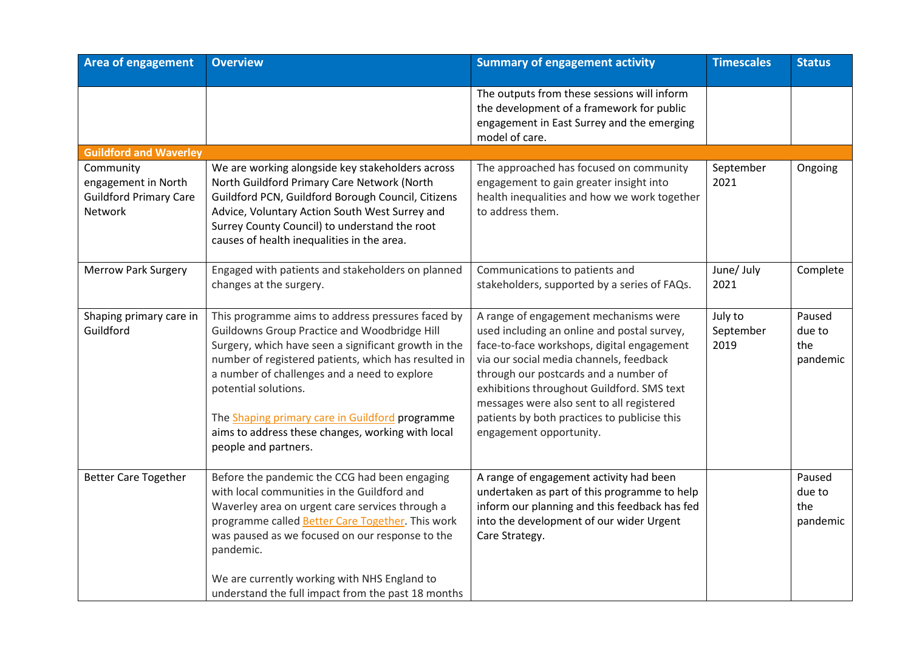| <b>Area of engagement</b>                                                    | <b>Overview</b>                                                                                                                                                                                                                                                                                                                                                                                                           | <b>Summary of engagement activity</b>                                                                                                                                                                                                                                                                                                                                                        | <b>Timescales</b>            | <b>Status</b>                       |
|------------------------------------------------------------------------------|---------------------------------------------------------------------------------------------------------------------------------------------------------------------------------------------------------------------------------------------------------------------------------------------------------------------------------------------------------------------------------------------------------------------------|----------------------------------------------------------------------------------------------------------------------------------------------------------------------------------------------------------------------------------------------------------------------------------------------------------------------------------------------------------------------------------------------|------------------------------|-------------------------------------|
|                                                                              |                                                                                                                                                                                                                                                                                                                                                                                                                           | The outputs from these sessions will inform<br>the development of a framework for public<br>engagement in East Surrey and the emerging<br>model of care.                                                                                                                                                                                                                                     |                              |                                     |
| <b>Guildford and Waverley</b>                                                |                                                                                                                                                                                                                                                                                                                                                                                                                           |                                                                                                                                                                                                                                                                                                                                                                                              |                              |                                     |
| Community<br>engagement in North<br><b>Guildford Primary Care</b><br>Network | We are working alongside key stakeholders across<br>North Guildford Primary Care Network (North<br>Guildford PCN, Guildford Borough Council, Citizens<br>Advice, Voluntary Action South West Surrey and<br>Surrey County Council) to understand the root<br>causes of health inequalities in the area.                                                                                                                    | The approached has focused on community<br>engagement to gain greater insight into<br>health inequalities and how we work together<br>to address them.                                                                                                                                                                                                                                       | September<br>2021            | Ongoing                             |
| <b>Merrow Park Surgery</b>                                                   | Engaged with patients and stakeholders on planned<br>changes at the surgery.                                                                                                                                                                                                                                                                                                                                              | Communications to patients and<br>stakeholders, supported by a series of FAQs.                                                                                                                                                                                                                                                                                                               | June/ July<br>2021           | Complete                            |
| Shaping primary care in<br>Guildford                                         | This programme aims to address pressures faced by<br>Guildowns Group Practice and Woodbridge Hill<br>Surgery, which have seen a significant growth in the<br>number of registered patients, which has resulted in<br>a number of challenges and a need to explore<br>potential solutions.<br>The Shaping primary care in Guildford programme<br>aims to address these changes, working with local<br>people and partners. | A range of engagement mechanisms were<br>used including an online and postal survey,<br>face-to-face workshops, digital engagement<br>via our social media channels, feedback<br>through our postcards and a number of<br>exhibitions throughout Guildford. SMS text<br>messages were also sent to all registered<br>patients by both practices to publicise this<br>engagement opportunity. | July to<br>September<br>2019 | Paused<br>due to<br>the<br>pandemic |
| <b>Better Care Together</b>                                                  | Before the pandemic the CCG had been engaging<br>with local communities in the Guildford and<br>Waverley area on urgent care services through a<br>programme called Better Care Together. This work<br>was paused as we focused on our response to the<br>pandemic.<br>We are currently working with NHS England to<br>understand the full impact from the past 18 months                                                 | A range of engagement activity had been<br>undertaken as part of this programme to help<br>inform our planning and this feedback has fed<br>into the development of our wider Urgent<br>Care Strategy.                                                                                                                                                                                       |                              | Paused<br>due to<br>the<br>pandemic |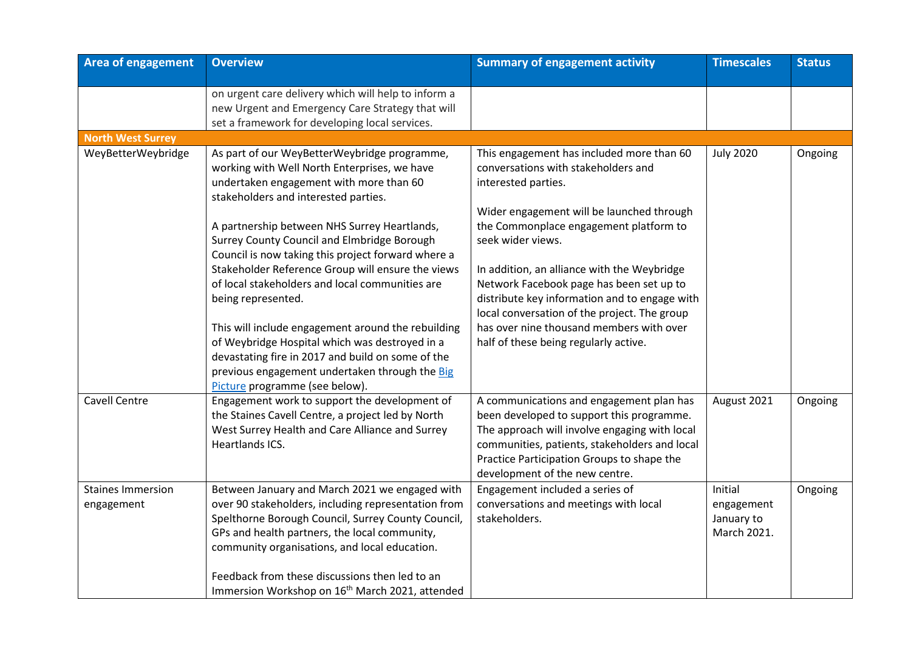| <b>Area of engagement</b>              | <b>Overview</b>                                                                                                                                                                                                                                                                                                                                                                                                                                                                                                                                                                                                                                                                                                     | <b>Summary of engagement activity</b>                                                                                                                                                                                                                                                                                                                                                                                                                                                                | <b>Timescales</b>                                  | <b>Status</b> |
|----------------------------------------|---------------------------------------------------------------------------------------------------------------------------------------------------------------------------------------------------------------------------------------------------------------------------------------------------------------------------------------------------------------------------------------------------------------------------------------------------------------------------------------------------------------------------------------------------------------------------------------------------------------------------------------------------------------------------------------------------------------------|------------------------------------------------------------------------------------------------------------------------------------------------------------------------------------------------------------------------------------------------------------------------------------------------------------------------------------------------------------------------------------------------------------------------------------------------------------------------------------------------------|----------------------------------------------------|---------------|
|                                        | on urgent care delivery which will help to inform a<br>new Urgent and Emergency Care Strategy that will<br>set a framework for developing local services.                                                                                                                                                                                                                                                                                                                                                                                                                                                                                                                                                           |                                                                                                                                                                                                                                                                                                                                                                                                                                                                                                      |                                                    |               |
| <b>North West Surrey</b>               |                                                                                                                                                                                                                                                                                                                                                                                                                                                                                                                                                                                                                                                                                                                     |                                                                                                                                                                                                                                                                                                                                                                                                                                                                                                      |                                                    |               |
| WeyBetterWeybridge                     | As part of our WeyBetterWeybridge programme,<br>working with Well North Enterprises, we have<br>undertaken engagement with more than 60<br>stakeholders and interested parties.<br>A partnership between NHS Surrey Heartlands,<br>Surrey County Council and Elmbridge Borough<br>Council is now taking this project forward where a<br>Stakeholder Reference Group will ensure the views<br>of local stakeholders and local communities are<br>being represented.<br>This will include engagement around the rebuilding<br>of Weybridge Hospital which was destroyed in a<br>devastating fire in 2017 and build on some of the<br>previous engagement undertaken through the Big<br>Picture programme (see below). | This engagement has included more than 60<br>conversations with stakeholders and<br>interested parties.<br>Wider engagement will be launched through<br>the Commonplace engagement platform to<br>seek wider views.<br>In addition, an alliance with the Weybridge<br>Network Facebook page has been set up to<br>distribute key information and to engage with<br>local conversation of the project. The group<br>has over nine thousand members with over<br>half of these being regularly active. | <b>July 2020</b>                                   | Ongoing       |
| <b>Cavell Centre</b>                   | Engagement work to support the development of<br>the Staines Cavell Centre, a project led by North<br>West Surrey Health and Care Alliance and Surrey<br>Heartlands ICS.                                                                                                                                                                                                                                                                                                                                                                                                                                                                                                                                            | A communications and engagement plan has<br>been developed to support this programme.<br>The approach will involve engaging with local<br>communities, patients, stakeholders and local<br>Practice Participation Groups to shape the<br>development of the new centre.                                                                                                                                                                                                                              | August 2021                                        | Ongoing       |
| <b>Staines Immersion</b><br>engagement | Between January and March 2021 we engaged with<br>over 90 stakeholders, including representation from<br>Spelthorne Borough Council, Surrey County Council,<br>GPs and health partners, the local community,<br>community organisations, and local education.<br>Feedback from these discussions then led to an<br>Immersion Workshop on 16 <sup>th</sup> March 2021, attended                                                                                                                                                                                                                                                                                                                                      | Engagement included a series of<br>conversations and meetings with local<br>stakeholders.                                                                                                                                                                                                                                                                                                                                                                                                            | Initial<br>engagement<br>January to<br>March 2021. | Ongoing       |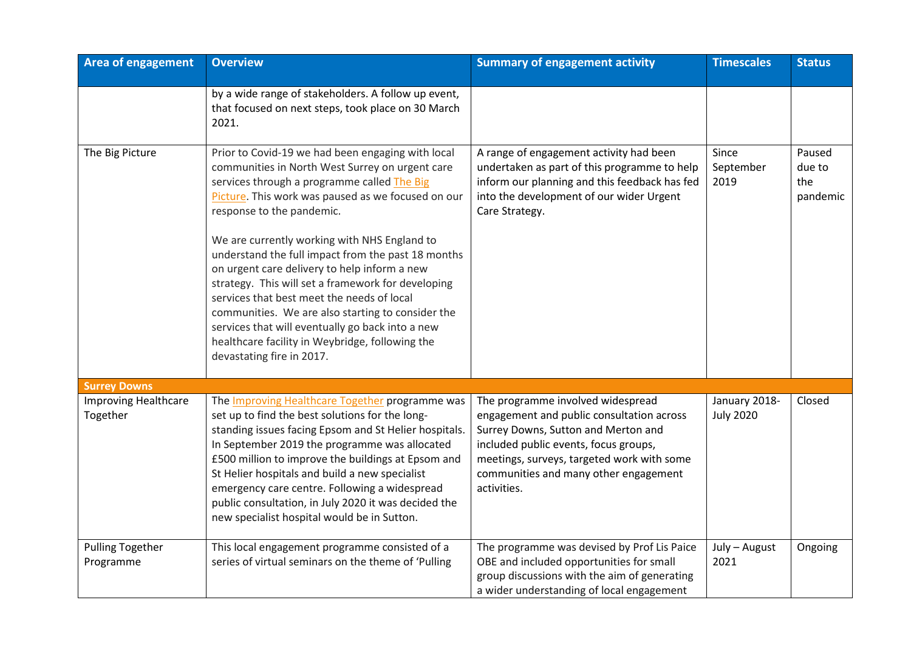| <b>Area of engagement</b>               | <b>Overview</b>                                                                                                                                                                                                                                                                                                                                                                                                                                                                                                                                                                                                                                                                           | <b>Summary of engagement activity</b>                                                                                                                                                                                                                                | <b>Timescales</b>                 | <b>Status</b>                       |
|-----------------------------------------|-------------------------------------------------------------------------------------------------------------------------------------------------------------------------------------------------------------------------------------------------------------------------------------------------------------------------------------------------------------------------------------------------------------------------------------------------------------------------------------------------------------------------------------------------------------------------------------------------------------------------------------------------------------------------------------------|----------------------------------------------------------------------------------------------------------------------------------------------------------------------------------------------------------------------------------------------------------------------|-----------------------------------|-------------------------------------|
|                                         | by a wide range of stakeholders. A follow up event,<br>that focused on next steps, took place on 30 March<br>2021.                                                                                                                                                                                                                                                                                                                                                                                                                                                                                                                                                                        |                                                                                                                                                                                                                                                                      |                                   |                                     |
| The Big Picture                         | Prior to Covid-19 we had been engaging with local<br>communities in North West Surrey on urgent care<br>services through a programme called The Big<br>Picture. This work was paused as we focused on our<br>response to the pandemic.<br>We are currently working with NHS England to<br>understand the full impact from the past 18 months<br>on urgent care delivery to help inform a new<br>strategy. This will set a framework for developing<br>services that best meet the needs of local<br>communities. We are also starting to consider the<br>services that will eventually go back into a new<br>healthcare facility in Weybridge, following the<br>devastating fire in 2017. | A range of engagement activity had been<br>undertaken as part of this programme to help<br>inform our planning and this feedback has fed<br>into the development of our wider Urgent<br>Care Strategy.                                                               | Since<br>September<br>2019        | Paused<br>due to<br>the<br>pandemic |
| <b>Surrey Downs</b>                     |                                                                                                                                                                                                                                                                                                                                                                                                                                                                                                                                                                                                                                                                                           |                                                                                                                                                                                                                                                                      |                                   |                                     |
| <b>Improving Healthcare</b><br>Together | The Improving Healthcare Together programme was<br>set up to find the best solutions for the long-<br>standing issues facing Epsom and St Helier hospitals.<br>In September 2019 the programme was allocated<br>£500 million to improve the buildings at Epsom and<br>St Helier hospitals and build a new specialist<br>emergency care centre. Following a widespread<br>public consultation, in July 2020 it was decided the<br>new specialist hospital would be in Sutton.                                                                                                                                                                                                              | The programme involved widespread<br>engagement and public consultation across<br>Surrey Downs, Sutton and Merton and<br>included public events, focus groups,<br>meetings, surveys, targeted work with some<br>communities and many other engagement<br>activities. | January 2018-<br><b>July 2020</b> | Closed                              |
| <b>Pulling Together</b><br>Programme    | This local engagement programme consisted of a<br>series of virtual seminars on the theme of 'Pulling                                                                                                                                                                                                                                                                                                                                                                                                                                                                                                                                                                                     | The programme was devised by Prof Lis Paice<br>OBE and included opportunities for small<br>group discussions with the aim of generating<br>a wider understanding of local engagement                                                                                 | July - August<br>2021             | Ongoing                             |